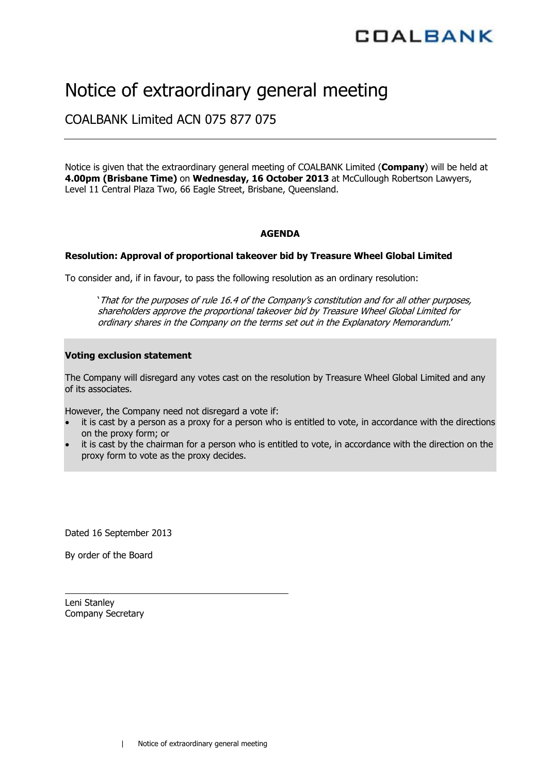# Notice of extraordinary general meeting

### COALBANK Limited ACN 075 877 075

Notice is given that the extraordinary general meeting of COALBANK Limited (**Company**) will be held at **4.00pm (Brisbane Time)** on **Wednesday, 16 October 2013** at McCullough Robertson Lawyers, Level 11 Central Plaza Two, 66 Eagle Street, Brisbane, Queensland.

#### **AGENDA**

#### **Resolution: Approval of proportional takeover bid by Treasure Wheel Global Limited**

To consider and, if in favour, to pass the following resolution as an ordinary resolution:

'That for the purposes of rule 16.4 of the Company's constitution and for all other purposes, shareholders approve the proportional takeover bid by Treasure Wheel Global Limited for ordinary shares in the Company on the terms set out in the Explanatory Memorandum.'

#### **Voting exclusion statement**

The Company will disregard any votes cast on the resolution by Treasure Wheel Global Limited and any of its associates.

However, the Company need not disregard a vote if:

- it is cast by a person as a proxy for a person who is entitled to vote, in accordance with the directions on the proxy form; or
- it is cast by the chairman for a person who is entitled to vote, in accordance with the direction on the proxy form to vote as the proxy decides.

Dated 16 September 2013

By order of the Board

Leni Stanley Company Secretary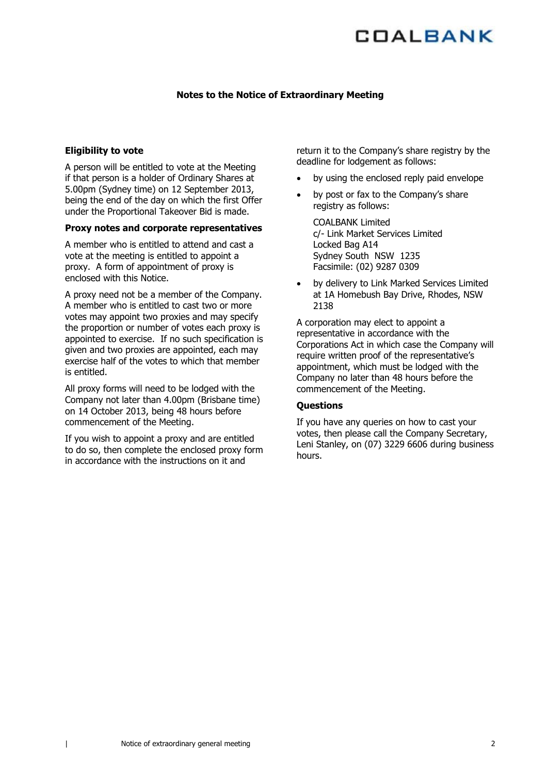#### **Notes to the Notice of Extraordinary Meeting**

#### **Eligibility to vote**

A person will be entitled to vote at the Meeting if that person is a holder of Ordinary Shares at 5.00pm (Sydney time) on 12 September 2013, being the end of the day on which the first Offer under the Proportional Takeover Bid is made.

#### **Proxy notes and corporate representatives**

A member who is entitled to attend and cast a vote at the meeting is entitled to appoint a proxy. A form of appointment of proxy is enclosed with this Notice.

A proxy need not be a member of the Company. A member who is entitled to cast two or more votes may appoint two proxies and may specify the proportion or number of votes each proxy is appointed to exercise. If no such specification is given and two proxies are appointed, each may exercise half of the votes to which that member is entitled.

All proxy forms will need to be lodged with the Company not later than 4.00pm (Brisbane time) on 14 October 2013, being 48 hours before commencement of the Meeting.

If you wish to appoint a proxy and are entitled to do so, then complete the enclosed proxy form in accordance with the instructions on it and

return it to the Company's share registry by the deadline for lodgement as follows:

- by using the enclosed reply paid envelope
- by post or fax to the Company's share registry as follows:

COALBANK Limited c/- Link Market Services Limited Locked Bag A14 Sydney South NSW 1235 Facsimile: (02) 9287 0309

by delivery to Link Marked Services Limited at 1A Homebush Bay Drive, Rhodes, NSW 2138

A corporation may elect to appoint a representative in accordance with the Corporations Act in which case the Company will require written proof of the representative's appointment, which must be lodged with the Company no later than 48 hours before the commencement of the Meeting.

#### **Questions**

If you have any queries on how to cast your votes, then please call the Company Secretary, Leni Stanley, on (07) 3229 6606 during business hours.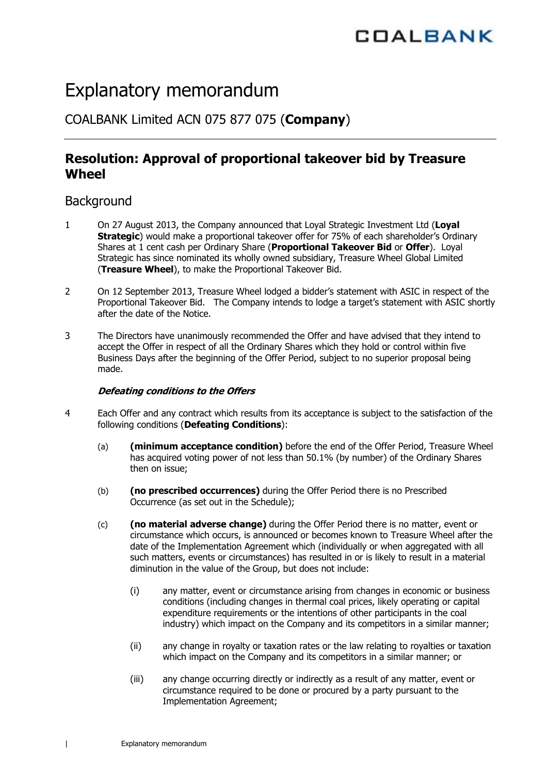# Explanatory memorandum

COALBANK Limited ACN 075 877 075 (**Company**)

### **Resolution: Approval of proportional takeover bid by Treasure Wheel**

### **Background**

- 1 On 27 August 2013, the Company announced that Loyal Strategic Investment Ltd (**Loyal Strategic**) would make a proportional takeover offer for 75% of each shareholder's Ordinary Shares at 1 cent cash per Ordinary Share (**Proportional Takeover Bid** or **Offer**). Loyal Strategic has since nominated its wholly owned subsidiary, Treasure Wheel Global Limited (**Treasure Wheel**), to make the Proportional Takeover Bid.
- 2 On 12 September 2013, Treasure Wheel lodged a bidder's statement with ASIC in respect of the Proportional Takeover Bid. The Company intends to lodge a target's statement with ASIC shortly after the date of the Notice.
- 3 The Directors have unanimously recommended the Offer and have advised that they intend to accept the Offer in respect of all the Ordinary Shares which they hold or control within five Business Days after the beginning of the Offer Period, subject to no superior proposal being made.

### **Defeating conditions to the Offers**

- 4 Each Offer and any contract which results from its acceptance is subject to the satisfaction of the following conditions (**Defeating Conditions**):
	- (a) **(minimum acceptance condition)** before the end of the Offer Period, Treasure Wheel has acquired voting power of not less than 50.1% (by number) of the Ordinary Shares then on issue;
	- (b) **(no prescribed occurrences)** during the Offer Period there is no Prescribed Occurrence (as set out in the Schedule);
	- (c) **(no material adverse change)** during the Offer Period there is no matter, event or circumstance which occurs, is announced or becomes known to Treasure Wheel after the date of the Implementation Agreement which (individually or when aggregated with all such matters, events or circumstances) has resulted in or is likely to result in a material diminution in the value of the Group, but does not include:
		- (i) any matter, event or circumstance arising from changes in economic or business conditions (including changes in thermal coal prices, likely operating or capital expenditure requirements or the intentions of other participants in the coal industry) which impact on the Company and its competitors in a similar manner;
		- (ii) any change in royalty or taxation rates or the law relating to royalties or taxation which impact on the Company and its competitors in a similar manner; or
		- (iii) any change occurring directly or indirectly as a result of any matter, event or circumstance required to be done or procured by a party pursuant to the Implementation Agreement;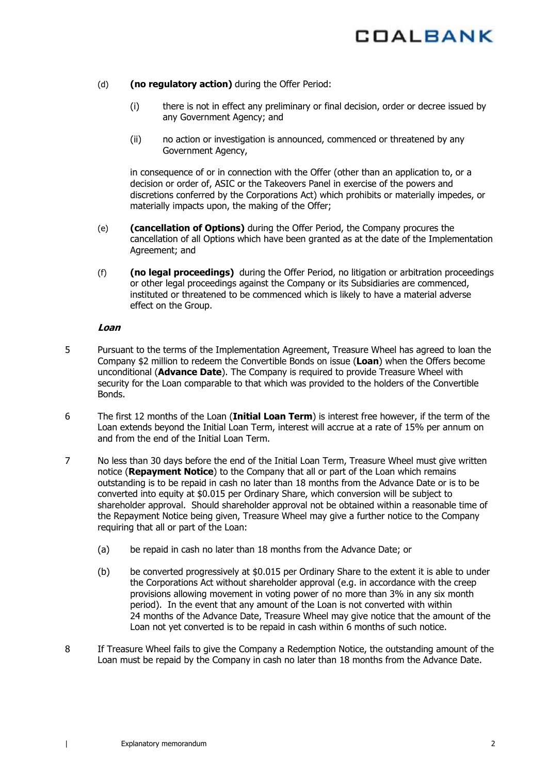- (d) **(no regulatory action)** during the Offer Period:
	- (i) there is not in effect any preliminary or final decision, order or decree issued by any Government Agency; and
	- (ii) no action or investigation is announced, commenced or threatened by any Government Agency,

in consequence of or in connection with the Offer (other than an application to, or a decision or order of, ASIC or the Takeovers Panel in exercise of the powers and discretions conferred by the Corporations Act) which prohibits or materially impedes, or materially impacts upon, the making of the Offer;

- (e) **(cancellation of Options)** during the Offer Period, the Company procures the cancellation of all Options which have been granted as at the date of the Implementation Agreement; and
- (f) **(no legal proceedings)** during the Offer Period, no litigation or arbitration proceedings or other legal proceedings against the Company or its Subsidiaries are commenced, instituted or threatened to be commenced which is likely to have a material adverse effect on the Group.

#### **Loan**

- 5 Pursuant to the terms of the Implementation Agreement, Treasure Wheel has agreed to loan the Company \$2 million to redeem the Convertible Bonds on issue (**Loan**) when the Offers become unconditional (**Advance Date**). The Company is required to provide Treasure Wheel with security for the Loan comparable to that which was provided to the holders of the Convertible Bonds.
- 6 The first 12 months of the Loan (**Initial Loan Term**) is interest free however, if the term of the Loan extends beyond the Initial Loan Term, interest will accrue at a rate of 15% per annum on and from the end of the Initial Loan Term.
- 7 No less than 30 days before the end of the Initial Loan Term, Treasure Wheel must give written notice (**Repayment Notice**) to the Company that all or part of the Loan which remains outstanding is to be repaid in cash no later than 18 months from the Advance Date or is to be converted into equity at \$0.015 per Ordinary Share, which conversion will be subject to shareholder approval. Should shareholder approval not be obtained within a reasonable time of the Repayment Notice being given, Treasure Wheel may give a further notice to the Company requiring that all or part of the Loan:
	- (a) be repaid in cash no later than 18 months from the Advance Date; or
	- (b) be converted progressively at \$0.015 per Ordinary Share to the extent it is able to under the Corporations Act without shareholder approval (e.g. in accordance with the creep provisions allowing movement in voting power of no more than 3% in any six month period). In the event that any amount of the Loan is not converted with within 24 months of the Advance Date, Treasure Wheel may give notice that the amount of the Loan not yet converted is to be repaid in cash within 6 months of such notice.
- 8 If Treasure Wheel fails to give the Company a Redemption Notice, the outstanding amount of the Loan must be repaid by the Company in cash no later than 18 months from the Advance Date.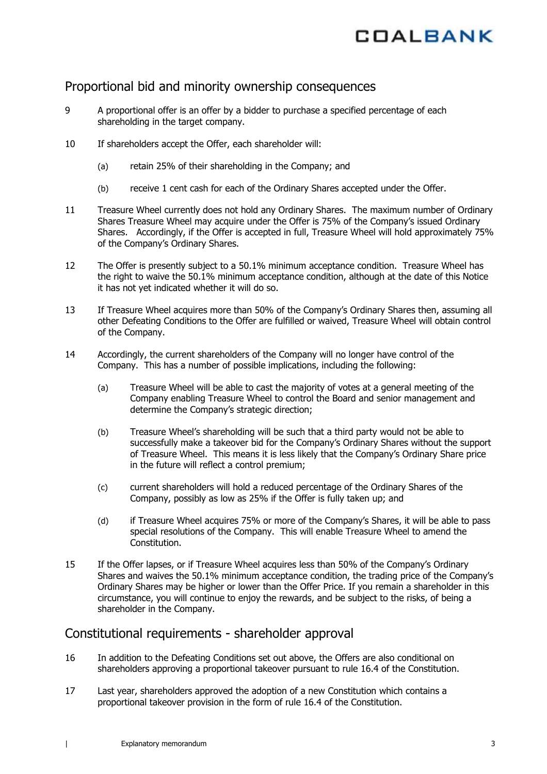### Proportional bid and minority ownership consequences

- 9 A proportional offer is an offer by a bidder to purchase a specified percentage of each shareholding in the target company.
- 10 If shareholders accept the Offer, each shareholder will:
	- (a) retain 25% of their shareholding in the Company; and
	- (b) receive 1 cent cash for each of the Ordinary Shares accepted under the Offer.
- 11 Treasure Wheel currently does not hold any Ordinary Shares. The maximum number of Ordinary Shares Treasure Wheel may acquire under the Offer is 75% of the Company's issued Ordinary Shares. Accordingly, if the Offer is accepted in full, Treasure Wheel will hold approximately 75% of the Company's Ordinary Shares.
- 12 The Offer is presently subject to a 50.1% minimum acceptance condition. Treasure Wheel has the right to waive the 50.1% minimum acceptance condition, although at the date of this Notice it has not yet indicated whether it will do so.
- 13 If Treasure Wheel acquires more than 50% of the Company's Ordinary Shares then, assuming all other Defeating Conditions to the Offer are fulfilled or waived, Treasure Wheel will obtain control of the Company.
- 14 Accordingly, the current shareholders of the Company will no longer have control of the Company. This has a number of possible implications, including the following:
	- (a) Treasure Wheel will be able to cast the majority of votes at a general meeting of the Company enabling Treasure Wheel to control the Board and senior management and determine the Company's strategic direction;
	- (b) Treasure Wheel's shareholding will be such that a third party would not be able to successfully make a takeover bid for the Company's Ordinary Shares without the support of Treasure Wheel. This means it is less likely that the Company's Ordinary Share price in the future will reflect a control premium;
	- (c) current shareholders will hold a reduced percentage of the Ordinary Shares of the Company, possibly as low as 25% if the Offer is fully taken up; and
	- (d) if Treasure Wheel acquires 75% or more of the Company's Shares, it will be able to pass special resolutions of the Company. This will enable Treasure Wheel to amend the Constitution.
- 15 If the Offer lapses, or if Treasure Wheel acquires less than 50% of the Company's Ordinary Shares and waives the 50.1% minimum acceptance condition, the trading price of the Company's Ordinary Shares may be higher or lower than the Offer Price. If you remain a shareholder in this circumstance, you will continue to enjoy the rewards, and be subject to the risks, of being a shareholder in the Company.

### Constitutional requirements - shareholder approval

- 16 In addition to the Defeating Conditions set out above, the Offers are also conditional on shareholders approving a proportional takeover pursuant to rule 16.4 of the Constitution.
- 17 Last year, shareholders approved the adoption of a new Constitution which contains a proportional takeover provision in the form of rule 16.4 of the Constitution.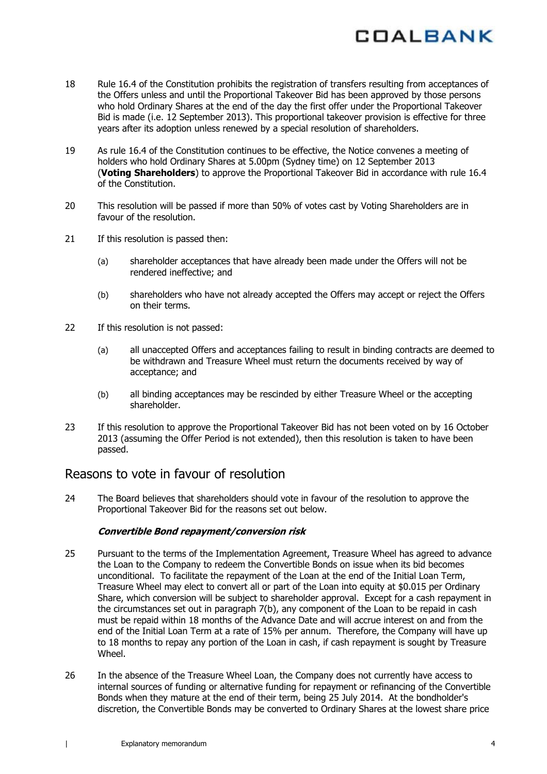

- 18 Rule 16.4 of the Constitution prohibits the registration of transfers resulting from acceptances of the Offers unless and until the Proportional Takeover Bid has been approved by those persons who hold Ordinary Shares at the end of the day the first offer under the Proportional Takeover Bid is made (i.e. 12 September 2013). This proportional takeover provision is effective for three years after its adoption unless renewed by a special resolution of shareholders.
- 19 As rule 16.4 of the Constitution continues to be effective, the Notice convenes a meeting of holders who hold Ordinary Shares at 5.00pm (Sydney time) on 12 September 2013 (**Voting Shareholders**) to approve the Proportional Takeover Bid in accordance with rule 16.4 of the Constitution.
- 20 This resolution will be passed if more than 50% of votes cast by Voting Shareholders are in favour of the resolution.
- 21 If this resolution is passed then:
	- (a) shareholder acceptances that have already been made under the Offers will not be rendered ineffective; and
	- (b) shareholders who have not already accepted the Offers may accept or reject the Offers on their terms.
- 22 If this resolution is not passed:
	- (a) all unaccepted Offers and acceptances failing to result in binding contracts are deemed to be withdrawn and Treasure Wheel must return the documents received by way of acceptance; and
	- (b) all binding acceptances may be rescinded by either Treasure Wheel or the accepting shareholder.
- 23 If this resolution to approve the Proportional Takeover Bid has not been voted on by 16 October 2013 (assuming the Offer Period is not extended), then this resolution is taken to have been passed.

### Reasons to vote in favour of resolution

24 The Board believes that shareholders should vote in favour of the resolution to approve the Proportional Takeover Bid for the reasons set out below.

#### **Convertible Bond repayment/conversion risk**

- 25 Pursuant to the terms of the Implementation Agreement, Treasure Wheel has agreed to advance the Loan to the Company to redeem the Convertible Bonds on issue when its bid becomes unconditional. To facilitate the repayment of the Loan at the end of the Initial Loan Term, Treasure Wheel may elect to convert all or part of the Loan into equity at \$0.015 per Ordinary Share, which conversion will be subject to shareholder approval. Except for a cash repayment in the circumstances set out in paragraph 7(b), any component of the Loan to be repaid in cash must be repaid within 18 months of the Advance Date and will accrue interest on and from the end of the Initial Loan Term at a rate of 15% per annum. Therefore, the Company will have up to 18 months to repay any portion of the Loan in cash, if cash repayment is sought by Treasure Wheel.
- 26 In the absence of the Treasure Wheel Loan, the Company does not currently have access to internal sources of funding or alternative funding for repayment or refinancing of the Convertible Bonds when they mature at the end of their term, being 25 July 2014. At the bondholder's discretion, the Convertible Bonds may be converted to Ordinary Shares at the lowest share price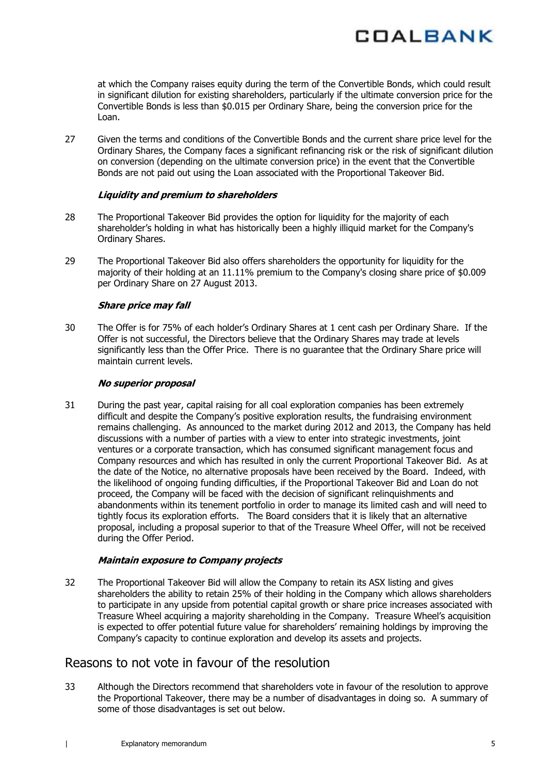

at which the Company raises equity during the term of the Convertible Bonds, which could result in significant dilution for existing shareholders, particularly if the ultimate conversion price for the Convertible Bonds is less than \$0.015 per Ordinary Share, being the conversion price for the Loan.

27 Given the terms and conditions of the Convertible Bonds and the current share price level for the Ordinary Shares, the Company faces a significant refinancing risk or the risk of significant dilution on conversion (depending on the ultimate conversion price) in the event that the Convertible Bonds are not paid out using the Loan associated with the Proportional Takeover Bid.

#### **Liquidity and premium to shareholders**

- 28 The Proportional Takeover Bid provides the option for liquidity for the majority of each shareholder's holding in what has historically been a highly illiquid market for the Company's Ordinary Shares.
- 29 The Proportional Takeover Bid also offers shareholders the opportunity for liquidity for the majority of their holding at an 11.11% premium to the Company's closing share price of \$0.009 per Ordinary Share on 27 August 2013.

#### **Share price may fall**

30 The Offer is for 75% of each holder's Ordinary Shares at 1 cent cash per Ordinary Share. If the Offer is not successful, the Directors believe that the Ordinary Shares may trade at levels significantly less than the Offer Price. There is no guarantee that the Ordinary Share price will maintain current levels.

#### **No superior proposal**

31 During the past year, capital raising for all coal exploration companies has been extremely difficult and despite the Company's positive exploration results, the fundraising environment remains challenging. As announced to the market during 2012 and 2013, the Company has held discussions with a number of parties with a view to enter into strategic investments, joint ventures or a corporate transaction, which has consumed significant management focus and Company resources and which has resulted in only the current Proportional Takeover Bid. As at the date of the Notice, no alternative proposals have been received by the Board. Indeed, with the likelihood of ongoing funding difficulties, if the Proportional Takeover Bid and Loan do not proceed, the Company will be faced with the decision of significant relinquishments and abandonments within its tenement portfolio in order to manage its limited cash and will need to tightly focus its exploration efforts. The Board considers that it is likely that an alternative proposal, including a proposal superior to that of the Treasure Wheel Offer, will not be received during the Offer Period.

#### **Maintain exposure to Company projects**

32 The Proportional Takeover Bid will allow the Company to retain its ASX listing and gives shareholders the ability to retain 25% of their holding in the Company which allows shareholders to participate in any upside from potential capital growth or share price increases associated with Treasure Wheel acquiring a majority shareholding in the Company. Treasure Wheel's acquisition is expected to offer potential future value for shareholders' remaining holdings by improving the Company's capacity to continue exploration and develop its assets and projects.

### Reasons to not vote in favour of the resolution

33 Although the Directors recommend that shareholders vote in favour of the resolution to approve the Proportional Takeover, there may be a number of disadvantages in doing so. A summary of some of those disadvantages is set out below.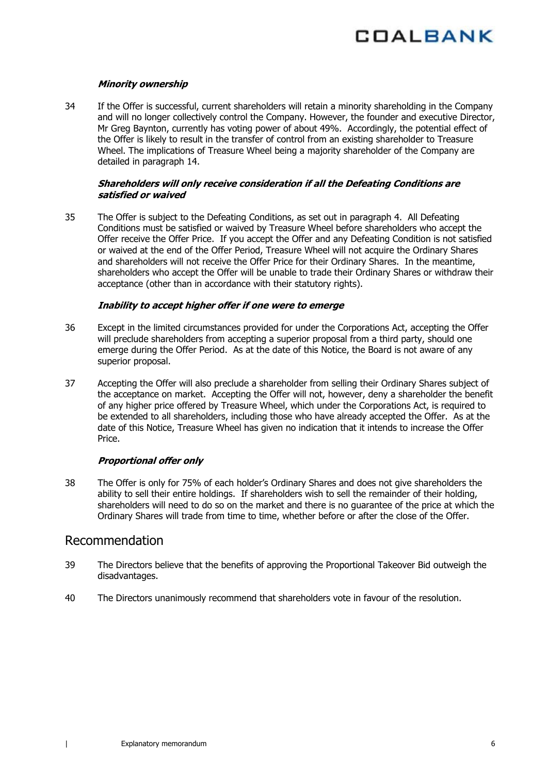

#### **Minority ownership**

34 If the Offer is successful, current shareholders will retain a minority shareholding in the Company and will no longer collectively control the Company. However, the founder and executive Director, Mr Greg Baynton, currently has voting power of about 49%. Accordingly, the potential effect of the Offer is likely to result in the transfer of control from an existing shareholder to Treasure Wheel. The implications of Treasure Wheel being a majority shareholder of the Company are detailed in paragraph 14.

#### **Shareholders will only receive consideration if all the Defeating Conditions are satisfied or waived**

35 The Offer is subject to the Defeating Conditions, as set out in paragraph 4. All Defeating Conditions must be satisfied or waived by Treasure Wheel before shareholders who accept the Offer receive the Offer Price. If you accept the Offer and any Defeating Condition is not satisfied or waived at the end of the Offer Period, Treasure Wheel will not acquire the Ordinary Shares and shareholders will not receive the Offer Price for their Ordinary Shares. In the meantime, shareholders who accept the Offer will be unable to trade their Ordinary Shares or withdraw their acceptance (other than in accordance with their statutory rights).

#### **Inability to accept higher offer if one were to emerge**

- 36 Except in the limited circumstances provided for under the Corporations Act, accepting the Offer will preclude shareholders from accepting a superior proposal from a third party, should one emerge during the Offer Period. As at the date of this Notice, the Board is not aware of any superior proposal.
- 37 Accepting the Offer will also preclude a shareholder from selling their Ordinary Shares subject of the acceptance on market. Accepting the Offer will not, however, deny a shareholder the benefit of any higher price offered by Treasure Wheel, which under the Corporations Act, is required to be extended to all shareholders, including those who have already accepted the Offer. As at the date of this Notice, Treasure Wheel has given no indication that it intends to increase the Offer Price.

#### **Proportional offer only**

38 The Offer is only for 75% of each holder's Ordinary Shares and does not give shareholders the ability to sell their entire holdings. If shareholders wish to sell the remainder of their holding, shareholders will need to do so on the market and there is no guarantee of the price at which the Ordinary Shares will trade from time to time, whether before or after the close of the Offer.

### Recommendation

- 39 The Directors believe that the benefits of approving the Proportional Takeover Bid outweigh the disadvantages.
- 40 The Directors unanimously recommend that shareholders vote in favour of the resolution.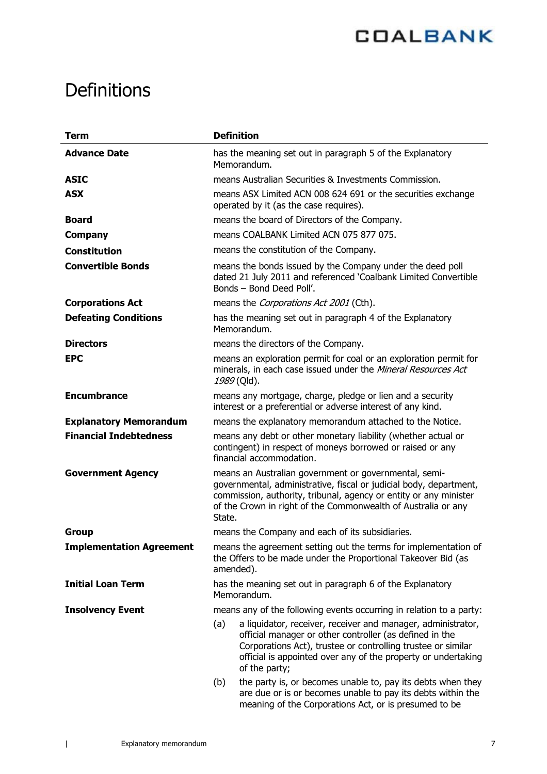# **Definitions**

| <b>Term</b>                     | <b>Definition</b>                                                                                                                                                                                                                                                                |  |  |
|---------------------------------|----------------------------------------------------------------------------------------------------------------------------------------------------------------------------------------------------------------------------------------------------------------------------------|--|--|
| <b>Advance Date</b>             | has the meaning set out in paragraph 5 of the Explanatory<br>Memorandum.                                                                                                                                                                                                         |  |  |
| <b>ASIC</b>                     | means Australian Securities & Investments Commission.                                                                                                                                                                                                                            |  |  |
| <b>ASX</b>                      | means ASX Limited ACN 008 624 691 or the securities exchange<br>operated by it (as the case requires).                                                                                                                                                                           |  |  |
| <b>Board</b>                    | means the board of Directors of the Company.                                                                                                                                                                                                                                     |  |  |
| <b>Company</b>                  | means COALBANK Limited ACN 075 877 075.                                                                                                                                                                                                                                          |  |  |
| <b>Constitution</b>             | means the constitution of the Company.                                                                                                                                                                                                                                           |  |  |
| <b>Convertible Bonds</b>        | means the bonds issued by the Company under the deed poll<br>dated 21 July 2011 and referenced 'Coalbank Limited Convertible<br>Bonds - Bond Deed Poll'.                                                                                                                         |  |  |
| <b>Corporations Act</b>         | means the Corporations Act 2001 (Cth).                                                                                                                                                                                                                                           |  |  |
| <b>Defeating Conditions</b>     | has the meaning set out in paragraph 4 of the Explanatory<br>Memorandum.                                                                                                                                                                                                         |  |  |
| <b>Directors</b>                | means the directors of the Company.                                                                                                                                                                                                                                              |  |  |
| <b>EPC</b>                      | means an exploration permit for coal or an exploration permit for<br>minerals, in each case issued under the Mineral Resources Act<br>1989 (Qld).                                                                                                                                |  |  |
| <b>Encumbrance</b>              | means any mortgage, charge, pledge or lien and a security<br>interest or a preferential or adverse interest of any kind.                                                                                                                                                         |  |  |
| <b>Explanatory Memorandum</b>   | means the explanatory memorandum attached to the Notice.                                                                                                                                                                                                                         |  |  |
| <b>Financial Indebtedness</b>   | means any debt or other monetary liability (whether actual or<br>contingent) in respect of moneys borrowed or raised or any<br>financial accommodation.                                                                                                                          |  |  |
| <b>Government Agency</b>        | means an Australian government or governmental, semi-<br>governmental, administrative, fiscal or judicial body, department,<br>commission, authority, tribunal, agency or entity or any minister<br>of the Crown in right of the Commonwealth of Australia or any<br>State.      |  |  |
| <b>Group</b>                    | means the Company and each of its subsidiaries.                                                                                                                                                                                                                                  |  |  |
| <b>Implementation Agreement</b> | means the agreement setting out the terms for implementation of<br>the Offers to be made under the Proportional Takeover Bid (as<br>amended).                                                                                                                                    |  |  |
| <b>Initial Loan Term</b>        | has the meaning set out in paragraph 6 of the Explanatory<br>Memorandum.                                                                                                                                                                                                         |  |  |
| <b>Insolvency Event</b>         | means any of the following events occurring in relation to a party:                                                                                                                                                                                                              |  |  |
|                                 | (a)<br>a liquidator, receiver, receiver and manager, administrator,<br>official manager or other controller (as defined in the<br>Corporations Act), trustee or controlling trustee or similar<br>official is appointed over any of the property or undertaking<br>of the party; |  |  |
|                                 | the party is, or becomes unable to, pay its debts when they<br>(b)<br>are due or is or becomes unable to pay its debts within the<br>meaning of the Corporations Act, or is presumed to be                                                                                       |  |  |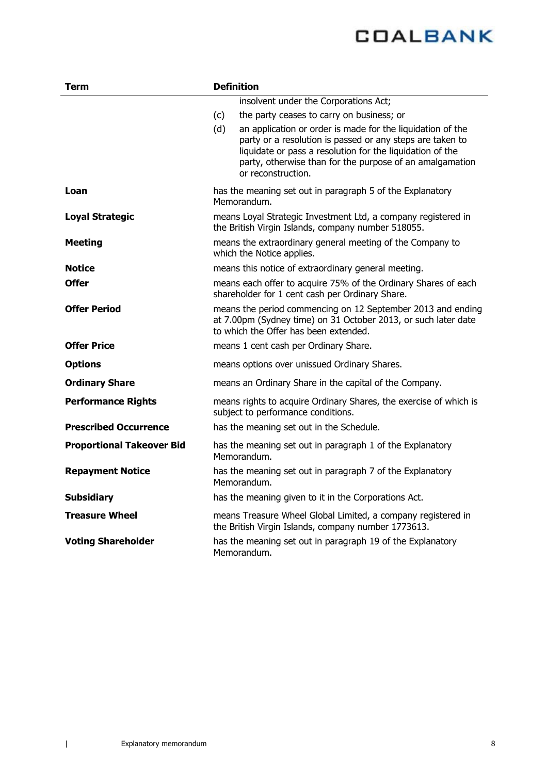| <b>Term</b>                      | <b>Definition</b>                                                                                                                                                                                                                                                             |  |  |
|----------------------------------|-------------------------------------------------------------------------------------------------------------------------------------------------------------------------------------------------------------------------------------------------------------------------------|--|--|
|                                  | insolvent under the Corporations Act;                                                                                                                                                                                                                                         |  |  |
|                                  | the party ceases to carry on business; or<br>(c)                                                                                                                                                                                                                              |  |  |
|                                  | (d)<br>an application or order is made for the liquidation of the<br>party or a resolution is passed or any steps are taken to<br>liquidate or pass a resolution for the liquidation of the<br>party, otherwise than for the purpose of an amalgamation<br>or reconstruction. |  |  |
| Loan                             | has the meaning set out in paragraph 5 of the Explanatory<br>Memorandum.                                                                                                                                                                                                      |  |  |
| <b>Loyal Strategic</b>           | means Loyal Strategic Investment Ltd, a company registered in<br>the British Virgin Islands, company number 518055.                                                                                                                                                           |  |  |
| <b>Meeting</b>                   | means the extraordinary general meeting of the Company to<br>which the Notice applies.                                                                                                                                                                                        |  |  |
| <b>Notice</b>                    | means this notice of extraordinary general meeting.                                                                                                                                                                                                                           |  |  |
| <b>Offer</b>                     | means each offer to acquire 75% of the Ordinary Shares of each<br>shareholder for 1 cent cash per Ordinary Share.                                                                                                                                                             |  |  |
| <b>Offer Period</b>              | means the period commencing on 12 September 2013 and ending<br>at 7.00pm (Sydney time) on 31 October 2013, or such later date<br>to which the Offer has been extended.                                                                                                        |  |  |
| <b>Offer Price</b>               | means 1 cent cash per Ordinary Share.                                                                                                                                                                                                                                         |  |  |
| <b>Options</b>                   | means options over unissued Ordinary Shares.                                                                                                                                                                                                                                  |  |  |
| <b>Ordinary Share</b>            | means an Ordinary Share in the capital of the Company.                                                                                                                                                                                                                        |  |  |
| <b>Performance Rights</b>        | means rights to acquire Ordinary Shares, the exercise of which is<br>subject to performance conditions.                                                                                                                                                                       |  |  |
| <b>Prescribed Occurrence</b>     | has the meaning set out in the Schedule.                                                                                                                                                                                                                                      |  |  |
| <b>Proportional Takeover Bid</b> | has the meaning set out in paragraph 1 of the Explanatory<br>Memorandum.                                                                                                                                                                                                      |  |  |
| <b>Repayment Notice</b>          | has the meaning set out in paragraph 7 of the Explanatory<br>Memorandum.                                                                                                                                                                                                      |  |  |
| <b>Subsidiary</b>                | has the meaning given to it in the Corporations Act.                                                                                                                                                                                                                          |  |  |
| <b>Treasure Wheel</b>            | means Treasure Wheel Global Limited, a company registered in<br>the British Virgin Islands, company number 1773613.                                                                                                                                                           |  |  |
| <b>Voting Shareholder</b>        | has the meaning set out in paragraph 19 of the Explanatory<br>Memorandum.                                                                                                                                                                                                     |  |  |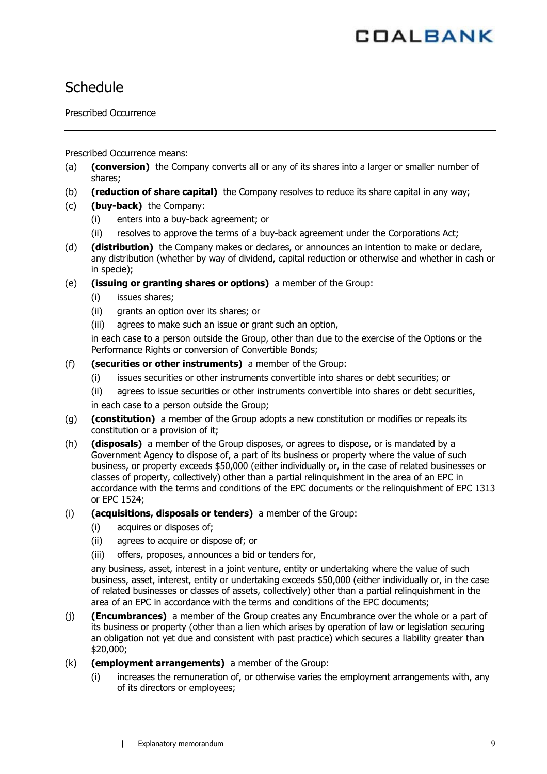## **Schedule**

Prescribed Occurrence

Prescribed Occurrence means:

- (a) **(conversion)** the Company converts all or any of its shares into a larger or smaller number of shares;
- (b) **(reduction of share capital)** the Company resolves to reduce its share capital in any way;
- (c) **(buy-back)** the Company:
	- (i) enters into a buy-back agreement; or
	- (ii) resolves to approve the terms of a buy-back agreement under the Corporations Act;
- (d) **(distribution)** the Company makes or declares, or announces an intention to make or declare, any distribution (whether by way of dividend, capital reduction or otherwise and whether in cash or in specie);
- (e) **(issuing or granting shares or options)** a member of the Group:
	- (i) issues shares;
	- (ii) grants an option over its shares; or
	- (iii) agrees to make such an issue or grant such an option,

in each case to a person outside the Group, other than due to the exercise of the Options or the Performance Rights or conversion of Convertible Bonds;

- (f) **(securities or other instruments)** a member of the Group:
	- (i) issues securities or other instruments convertible into shares or debt securities; or
	- (ii) agrees to issue securities or other instruments convertible into shares or debt securities,

in each case to a person outside the Group;

- (g) **(constitution)** a member of the Group adopts a new constitution or modifies or repeals its constitution or a provision of it;
- (h) **(disposals)** a member of the Group disposes, or agrees to dispose, or is mandated by a Government Agency to dispose of, a part of its business or property where the value of such business, or property exceeds \$50,000 (either individually or, in the case of related businesses or classes of property, collectively) other than a partial relinquishment in the area of an EPC in accordance with the terms and conditions of the EPC documents or the relinquishment of EPC 1313 or EPC 1524;
- (i) **(acquisitions, disposals or tenders)** a member of the Group:
	- (i) acquires or disposes of;
	- (ii) agrees to acquire or dispose of; or
	- (iii) offers, proposes, announces a bid or tenders for,

any business, asset, interest in a joint venture, entity or undertaking where the value of such business, asset, interest, entity or undertaking exceeds \$50,000 (either individually or, in the case of related businesses or classes of assets, collectively) other than a partial relinquishment in the area of an EPC in accordance with the terms and conditions of the EPC documents;

- (j) **(Encumbrances)** a member of the Group creates any Encumbrance over the whole or a part of its business or property (other than a lien which arises by operation of law or legislation securing an obligation not yet due and consistent with past practice) which secures a liability greater than \$20,000;
- (k) **(employment arrangements)** a member of the Group:
	- (i) increases the remuneration of, or otherwise varies the employment arrangements with, any of its directors or employees;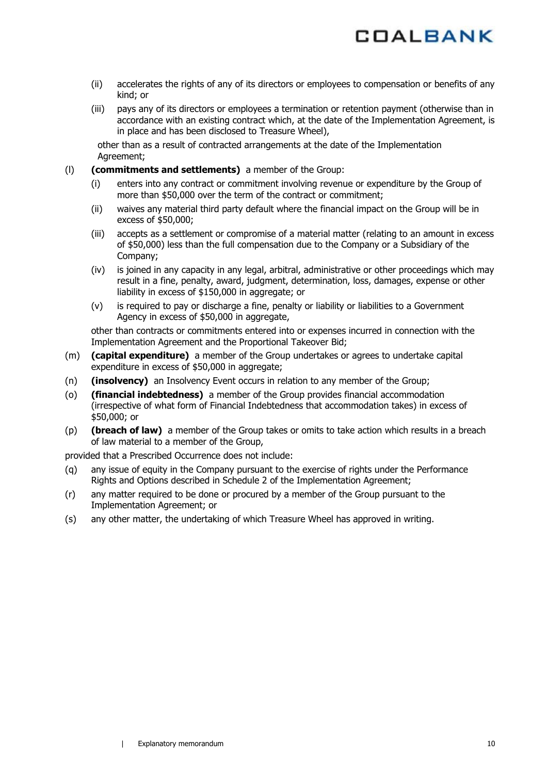

- (ii) accelerates the rights of any of its directors or employees to compensation or benefits of any kind; or
- (iii) pays any of its directors or employees a termination or retention payment (otherwise than in accordance with an existing contract which, at the date of the Implementation Agreement, is in place and has been disclosed to Treasure Wheel),

other than as a result of contracted arrangements at the date of the Implementation Agreement;

(l) **(commitments and settlements)** a member of the Group:

- (i) enters into any contract or commitment involving revenue or expenditure by the Group of more than \$50,000 over the term of the contract or commitment;
- (ii) waives any material third party default where the financial impact on the Group will be in excess of \$50,000;
- (iii) accepts as a settlement or compromise of a material matter (relating to an amount in excess of \$50,000) less than the full compensation due to the Company or a Subsidiary of the Company;
- (iv) is joined in any capacity in any legal, arbitral, administrative or other proceedings which may result in a fine, penalty, award, judgment, determination, loss, damages, expense or other liability in excess of \$150,000 in aggregate; or
- (v) is required to pay or discharge a fine, penalty or liability or liabilities to a Government Agency in excess of \$50,000 in aggregate,

other than contracts or commitments entered into or expenses incurred in connection with the Implementation Agreement and the Proportional Takeover Bid;

- (m) **(capital expenditure)** a member of the Group undertakes or agrees to undertake capital expenditure in excess of \$50,000 in aggregate;
- (n) **(insolvency)** an Insolvency Event occurs in relation to any member of the Group;
- (o) **(financial indebtedness)** a member of the Group provides financial accommodation (irrespective of what form of Financial Indebtedness that accommodation takes) in excess of \$50,000; or
- (p) **(breach of law)** a member of the Group takes or omits to take action which results in a breach of law material to a member of the Group,

provided that a Prescribed Occurrence does not include:

- (q) any issue of equity in the Company pursuant to the exercise of rights under the Performance Rights and Options described in Schedule 2 of the Implementation Agreement;
- (r) any matter required to be done or procured by a member of the Group pursuant to the Implementation Agreement; or
- (s) any other matter, the undertaking of which Treasure Wheel has approved in writing.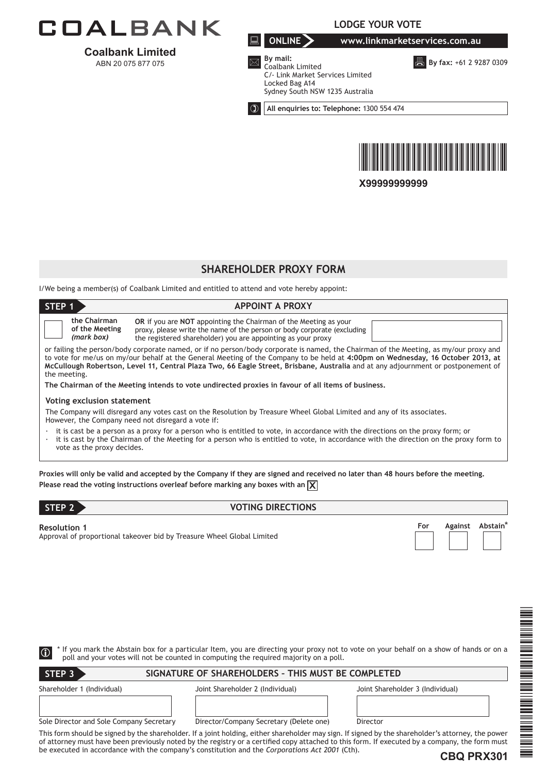

**Coalbank Limited**  ABN 20 075 877 075

**LODGE YOUR VOTE**

**ONLINE www.linkmarketservices.com.au**

**By fax: +61 2 9287 0309** 



 **By mail:** Coalbank Limited C/- Link Market Services Limited Locked Bag A14 Sydney South NSW 1235 Australia

**All enquiries to: Telephone:** 1300 554 474



**X99999999999**

### **SHAREHOLDER PROXY FORM**

I/We being a member(s) of Coalbank Limited and entitled to attend and vote hereby appoint:

| STEP <sub>1</sub><br><b>APPOINT A PROXY</b>                                                                                                                                                                                                                                                                                                                                                                                   |                                                                                                                                                                                                                           |  |
|-------------------------------------------------------------------------------------------------------------------------------------------------------------------------------------------------------------------------------------------------------------------------------------------------------------------------------------------------------------------------------------------------------------------------------|---------------------------------------------------------------------------------------------------------------------------------------------------------------------------------------------------------------------------|--|
| the Chairman<br>of the Meeting<br>(mark box)                                                                                                                                                                                                                                                                                                                                                                                  | <b>OR</b> if you are <b>NOT</b> appointing the Chairman of the Meeting as your<br>proxy, please write the name of the person or body corporate (excluding<br>the registered shareholder) you are appointing as your proxy |  |
| or failing the person/body corporate named, or if no person/body corporate is named, the Chairman of the Meeting, as my/our proxy and<br>to vote for me/us on my/our behalf at the General Meeting of the Company to be held at 4:00pm on Wednesday, 16 October 2013, at<br>McCullough Robertson, Level 11, Central Plaza Two, 66 Eagle Street, Brisbane, Australia and at any adjournment or postponement of<br>the meeting. |                                                                                                                                                                                                                           |  |
| The Chairman of the Meeting intends to vote undirected proxies in favour of all items of business,                                                                                                                                                                                                                                                                                                                            |                                                                                                                                                                                                                           |  |
| Voting exclusion statement                                                                                                                                                                                                                                                                                                                                                                                                    |                                                                                                                                                                                                                           |  |
| The Company will disregard any votes cast on the Resolution by Treasure Wheel Global Limited and any of its associates.<br>However, the Company need not disregard a vote if:                                                                                                                                                                                                                                                 |                                                                                                                                                                                                                           |  |
| it is cast be a person as a proxy for a person who is entitled to vote, in accordance with the directions on the proxy form; or<br>it is cast by the Chairman of the Meeting for a person who is entitled to vote, in accordance with the direction on the proxy form to<br>vote as the proxy decides.                                                                                                                        |                                                                                                                                                                                                                           |  |
|                                                                                                                                                                                                                                                                                                                                                                                                                               | Proxies will only be valid and accepted by the Company if they are signed and received no later than 48 hours before the meeting.                                                                                         |  |
| Please read the voting instructions overleaf before marking any boxes with an $\chi$                                                                                                                                                                                                                                                                                                                                          |                                                                                                                                                                                                                           |  |

| Г | - |  |
|---|---|--|
|   |   |  |
|   |   |  |

#### **STEP 22 AND 22 AND 22 AND 22 AND 22 AND 22 AND 22 AND 23 AND 24 AND 24 AND 24 AND 24 AND 24 AND 25 AND 25 AND 25 AND 26 AND 27 AND 27 AND 27 AND 27 AND 27 AND 27 AND 27 AND 27 AND 27 AND 27 AND 27 AND 27 AND 27 AND 27 AND**

**Resolution 1** Approval of proportional takeover bid by Treasure Wheel Global Limited

| For | Against Abstain* |
|-----|------------------|
|     |                  |

\* If you mark the Abstain box for a particular Item, you are directing your proxy not to vote on your behalf on a show of hands or on a  $\Box$ 

**SIGNATURE OF SHAREHOLDERS – THIS MUST BE COMPLETED**

Shareholder 1 (Individual) Joint Shareholder 2 (Individual) Joint Shareholder 3 (Individual) Sole Director and Sole Company Secretary Director/Company Secretary (Delete one) Director **STEP 3**

poll and your votes will not be counted in computing the required majority on a poll.

This form should be signed by the shareholder. If a joint holding, either shareholder may sign. If signed by the shareholder's attorney, the power of attorney must have been previously noted by the registry or a certified copy attached to this form. If executed by a company, the form must be executed in accordance with the company's constitution and the *Corporations Act 2001* (Cth).



\*CBQ PRX301\*